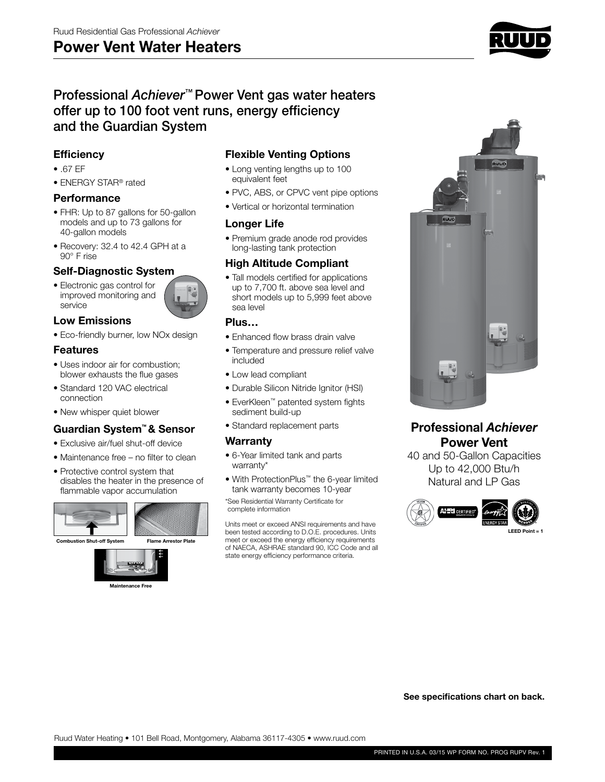# **Power Vent Water Heaters**



# Professional *Achiever*™ Power Vent gas water heaters offer up to 100 foot vent runs, energy efficiency and the Guardian System

## **Efficiency**

- .67 EF
- ENERGY STAR® rated

#### **Performance**

- FHR: Up to 87 gallons for 50-gallon models and up to 73 gallons for 40-gallon models
- Recovery: 32.4 to 42.4 GPH at a 90° F rise

#### **Self-Diagnostic System**

• Electronic gas control for improved monitoring and service



• Eco-friendly burner, low NOx design

#### **Features**

- Uses indoor air for combustion; blower exhausts the flue gases
- Standard 120 VAC electrical connection
- New whisper quiet blower

## **Guardian System™ & Sensor**

- Exclusive air/fuel shut-off device
- Maintenance free no filter to clean
- Protective control system that disables the heater in the presence of flammable vapor accumulation





**Maintenance Free**

## **Flexible Venting Options**

- Long venting lengths up to 100 equivalent feet
- PVC, ABS, or CPVC vent pipe options
- Vertical or horizontal termination

#### **Longer Life**

• Premium grade anode rod provides long-lasting tank protection

#### **High Altitude Compliant**

• Tall models certified for applications up to 7,700 ft. above sea level and short models up to 5,999 feet above sea level

#### **Plus…**

- Enhanced flow brass drain valve
- Temperature and pressure relief valve included
- Low lead compliant
- Durable Silicon Nitride Ignitor (HSI)
- EverKleen™ patented system fights sediment build-up
- Standard replacement parts

#### **Warranty**

- 6-Year limited tank and parts warranty\*
- With ProtectionPlus™ the 6-year limited tank warranty becomes 10-year

\*See Residential Warranty Certificate for complete information

Units meet or exceed ANSI requirements and have been tested according to D.O.E. procedures. Units meet or exceed the energy efficiency requirements of NAECA, ASHRAE standard 90, ICC Code and all state energy efficiency performance criteria.



# **Professional** *Achiever* **Power Vent**

40 and 50-Gallon Capacities Up to 42,000 Btu/h Natural and LP Gas



**See specifications chart on back.**